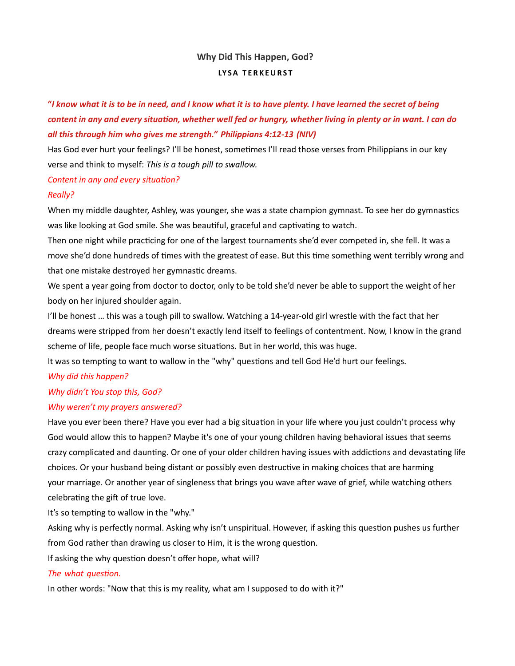# Why Did This Happen, God? LYSA TERKEURST

# "I know what it is to be in need, and I know what it is to have plenty. I have learned the secret of being content in any and every situation, whether well fed or hungry, whether living in plenty or in want. I can do all this through him who gives me strength." Philippians 4:12-13 (NIV)

Has God ever hurt your feelings? I'll be honest, sometimes I'll read those verses from Philippians in our key verse and think to myself: This is a tough pill to swallow.

#### Content in any and every situation?

#### Really?

When my middle daughter, Ashley, was younger, she was a state champion gymnast. To see her do gymnastics was like looking at God smile. She was beautiful, graceful and captivating to watch.

Then one night while practicing for one of the largest tournaments she'd ever competed in, she fell. It was a move she'd done hundreds of times with the greatest of ease. But this time something went terribly wrong and that one mistake destroyed her gymnastic dreams.

We spent a year going from doctor to doctor, only to be told she'd never be able to support the weight of her body on her injured shoulder again.

I'll be honest … this was a tough pill to swallow. Watching a 14-year-old girl wrestle with the fact that her dreams were stripped from her doesn't exactly lend itself to feelings of contentment. Now, I know in the grand scheme of life, people face much worse situations. But in her world, this was huge.

It was so tempting to want to wallow in the "why" questions and tell God He'd hurt our feelings.

## Why did this happen?

## Why didn't You stop this, God?

#### Why weren't my prayers answered?

Have you ever been there? Have you ever had a big situation in your life where you just couldn't process why God would allow this to happen? Maybe it's one of your young children having behavioral issues that seems crazy complicated and daunting. Or one of your older children having issues with addictions and devastating life choices. Or your husband being distant or possibly even destructive in making choices that are harming your marriage. Or another year of singleness that brings you wave after wave of grief, while watching others celebrating the gift of true love.

It's so tempting to wallow in the "why."

Asking why is perfectly normal. Asking why isn't unspiritual. However, if asking this question pushes us further from God rather than drawing us closer to Him, it is the wrong question.

If asking the why question doesn't offer hope, what will?

## The what question.

In other words: "Now that this is my reality, what am I supposed to do with it?"